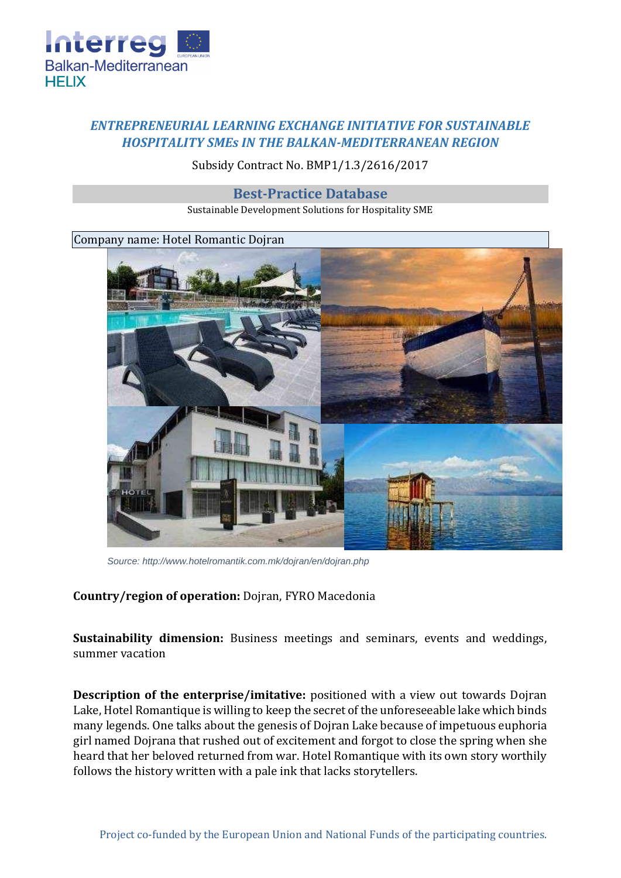

## *ENTREPRENEURIAL LEARNING EXCHANGE INITIATIVE FOR SUSTAINABLE HOSPITALITY SMEs IN THE BALKAN-MEDITERRANEAN REGION*

Subsidy Contract No. BMP1/1.3/2616/2017

**Best-Practice Database**

Sustainable Development Solutions for Hospitality SME

Company name: Hotel Romantic Dojran



*Source: http://www.hotelromantik.com.mk/dojran/en/dojran.php*

## **Country/region of operation:** Dojran, FYRO Macedonia

**Sustainability dimension:** Business meetings and seminars, events and weddings, summer vacation

**Description of the enterprise/imitative:** positioned with a view out towards Dojran Lake, Hotel Romantique is willing to keep the secret of the unforeseeable lake which binds many legends. One talks about the genesis of Dojran Lake because of impetuous euphoria girl named Dojrana that rushed out of excitement and forgot to close the spring when she heard that her beloved returned from war. Hotel Romantique with its own story worthily follows the history written with a pale ink that lacks storytellers.